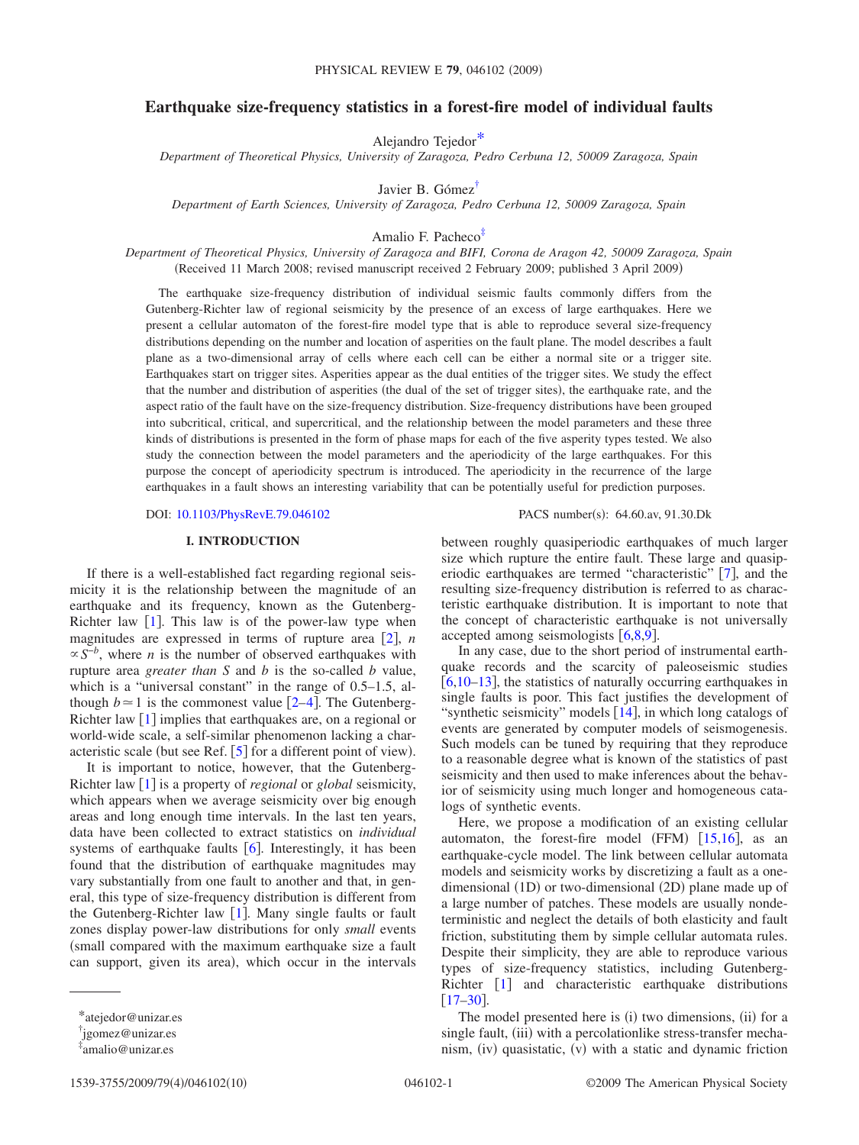# **Earthquake size-frequency statistics in a forest-fire model of individual faults**

Alejandro Tejedo[r\\*](#page-0-0)

*Department of Theoretical Physics, University of Zaragoza, Pedro Cerbuna 12, 50009 Zaragoza, Spain*

Javier B. Góme[z†](#page-0-1)

*Department of Earth Sciences, University of Zaragoza, Pedro Cerbuna 12, 50009 Zaragoza, Spain*

Amalio F. Pachec[o‡](#page-0-2)

*Department of Theoretical Physics, University of Zaragoza and BIFI, Corona de Aragon 42, 50009 Zaragoza, Spain* (Received 11 March 2008; revised manuscript received 2 February 2009; published 3 April 2009)

The earthquake size-frequency distribution of individual seismic faults commonly differs from the Gutenberg-Richter law of regional seismicity by the presence of an excess of large earthquakes. Here we present a cellular automaton of the forest-fire model type that is able to reproduce several size-frequency distributions depending on the number and location of asperities on the fault plane. The model describes a fault plane as a two-dimensional array of cells where each cell can be either a normal site or a trigger site. Earthquakes start on trigger sites. Asperities appear as the dual entities of the trigger sites. We study the effect that the number and distribution of asperities (the dual of the set of trigger sites), the earthquake rate, and the aspect ratio of the fault have on the size-frequency distribution. Size-frequency distributions have been grouped into subcritical, critical, and supercritical, and the relationship between the model parameters and these three kinds of distributions is presented in the form of phase maps for each of the five asperity types tested. We also study the connection between the model parameters and the aperiodicity of the large earthquakes. For this purpose the concept of aperiodicity spectrum is introduced. The aperiodicity in the recurrence of the large earthquakes in a fault shows an interesting variability that can be potentially useful for prediction purposes.

DOI: [10.1103/PhysRevE.79.046102](http://dx.doi.org/10.1103/PhysRevE.79.046102)

#### **I. INTRODUCTION**

If there is a well-established fact regarding regional seismicity it is the relationship between the magnitude of an earthquake and its frequency, known as the Gutenberg-Richter law  $\lceil 1 \rceil$  $\lceil 1 \rceil$  $\lceil 1 \rceil$ . This law is of the power-law type when magnitudes are expressed in terms of rupture area  $\lceil 2 \rceil$  $\lceil 2 \rceil$  $\lceil 2 \rceil$ , *n*  $\propto S^{-b}$ , where *n* is the number of observed earthquakes with rupture area *greater than S* and *b* is the so-called *b* value, which is a "universal constant" in the range of 0.5–1.5, although  $b \approx 1$  is the commonest value  $\lceil 2-4 \rceil$  $\lceil 2-4 \rceil$  $\lceil 2-4 \rceil$ . The Gutenberg-Richter law  $\lceil 1 \rceil$  $\lceil 1 \rceil$  $\lceil 1 \rceil$  implies that earthquakes are, on a regional or world-wide scale, a self-similar phenomenon lacking a characteristic scale (but see Ref.  $[5]$  $[5]$  $[5]$  for a different point of view).

It is important to notice, however, that the Gutenberg-Richter law  $\lceil 1 \rceil$  $\lceil 1 \rceil$  $\lceil 1 \rceil$  is a property of *regional* or *global* seismicity, which appears when we average seismicity over big enough areas and long enough time intervals. In the last ten years, data have been collected to extract statistics on *individual* systems of earthquake faults  $[6]$  $[6]$  $[6]$ . Interestingly, it has been found that the distribution of earthquake magnitudes may vary substantially from one fault to another and that, in general, this type of size-frequency distribution is different from the Gutenberg-Richter law  $[1]$  $[1]$  $[1]$ . Many single faults or fault zones display power-law distributions for only *small* events small compared with the maximum earthquake size a fault can support, given its area), which occur in the intervals

between roughly quasiperiodic earthquakes of much larger size which rupture the entire fault. These large and quasiperiodic earthquakes are termed "characteristic"  $[7]$  $[7]$  $[7]$ , and the resulting size-frequency distribution is referred to as characteristic earthquake distribution. It is important to note that the concept of characteristic earthquake is not universally accepted among seismologists  $[6,8,9]$  $[6,8,9]$  $[6,8,9]$  $[6,8,9]$  $[6,8,9]$ .

PACS number(s): 64.60.av, 91.30.Dk

In any case, due to the short period of instrumental earthquake records and the scarcity of paleoseismic studies  $\left[6,10-13\right]$  $\left[6,10-13\right]$  $\left[6,10-13\right]$  $\left[6,10-13\right]$  $\left[6,10-13\right]$ , the statistics of naturally occurring earthquakes in single faults is poor. This fact justifies the development of "synthetic seismicity" models  $[14]$  $[14]$  $[14]$ , in which long catalogs of events are generated by computer models of seismogenesis. Such models can be tuned by requiring that they reproduce to a reasonable degree what is known of the statistics of past seismicity and then used to make inferences about the behavior of seismicity using much longer and homogeneous catalogs of synthetic events.

Here, we propose a modification of an existing cellular automaton, the forest-fire model (FFM)  $[15,16]$  $[15,16]$  $[15,16]$  $[15,16]$ , as an earthquake-cycle model. The link between cellular automata models and seismicity works by discretizing a fault as a onedimensional (1D) or two-dimensional (2D) plane made up of a large number of patches. These models are usually nondeterministic and neglect the details of both elasticity and fault friction, substituting them by simple cellular automata rules. Despite their simplicity, they are able to reproduce various types of size-frequency statistics, including Gutenberg-Richter  $\begin{bmatrix} 1 \end{bmatrix}$  $\begin{bmatrix} 1 \end{bmatrix}$  $\begin{bmatrix} 1 \end{bmatrix}$  and characteristic earthquake distributions  $[17-30]$  $[17-30]$  $[17-30]$ .

The model presented here is (i) two dimensions, (ii) for a single fault, (iii) with a percolationlike stress-transfer mechanism, (iv) quasistatic, (v) with a static and dynamic friction

<sup>\*</sup>atejedor@unizar.es

<span id="page-0-0"></span><sup>†</sup> jgomez@unizar.es

<span id="page-0-2"></span><span id="page-0-1"></span><sup>‡</sup> amalio@unizar.es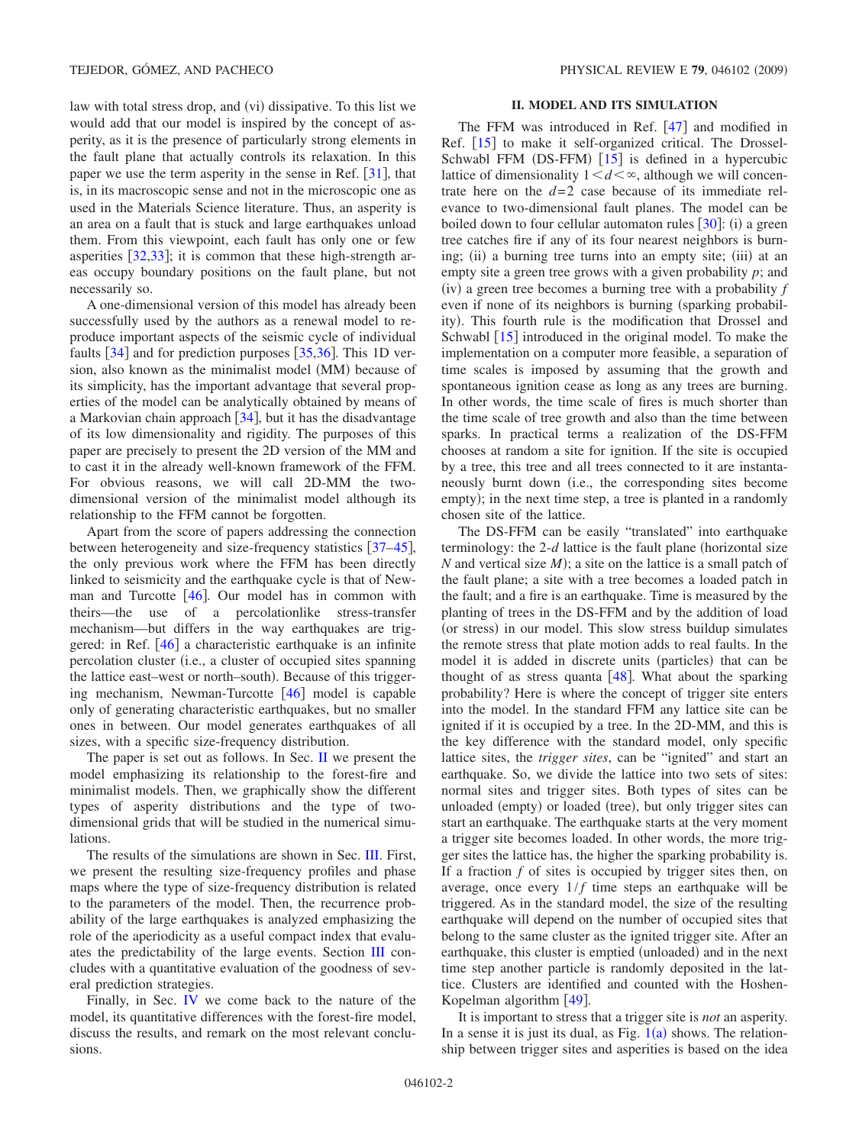law with total stress drop, and (vi) dissipative. To this list we would add that our model is inspired by the concept of asperity, as it is the presence of particularly strong elements in the fault plane that actually controls its relaxation. In this paper we use the term asperity in the sense in Ref.  $\lceil 31 \rceil$  $\lceil 31 \rceil$  $\lceil 31 \rceil$ , that is, in its macroscopic sense and not in the microscopic one as used in the Materials Science literature. Thus, an asperity is an area on a fault that is stuck and large earthquakes unload them. From this viewpoint, each fault has only one or few asperities  $\left[32,33\right]$  $\left[32,33\right]$  $\left[32,33\right]$  $\left[32,33\right]$ ; it is common that these high-strength areas occupy boundary positions on the fault plane, but not necessarily so.

A one-dimensional version of this model has already been successfully used by the authors as a renewal model to reproduce important aspects of the seismic cycle of individual faults  $[34]$  $[34]$  $[34]$  and for prediction purposes  $[35,36]$  $[35,36]$  $[35,36]$  $[35,36]$ . This 1D version, also known as the minimalist model (MM) because of its simplicity, has the important advantage that several properties of the model can be analytically obtained by means of a Markovian chain approach  $\lceil 34 \rceil$  $\lceil 34 \rceil$  $\lceil 34 \rceil$ , but it has the disadvantage of its low dimensionality and rigidity. The purposes of this paper are precisely to present the 2D version of the MM and to cast it in the already well-known framework of the FFM. For obvious reasons, we will call 2D-MM the twodimensional version of the minimalist model although its relationship to the FFM cannot be forgotten.

Apart from the score of papers addressing the connection between heterogeneity and size-frequency statistics  $\left[37-45\right]$  $\left[37-45\right]$  $\left[37-45\right]$ , the only previous work where the FFM has been directly linked to seismicity and the earthquake cycle is that of Newman and Turcotte  $[46]$  $[46]$  $[46]$ . Our model has in common with theirs—the use of a percolationlike stress-transfer mechanism—but differs in the way earthquakes are triggered: in Ref.  $[46]$  $[46]$  $[46]$  a characteristic earthquake is an infinite percolation cluster (i.e., a cluster of occupied sites spanning the lattice east-west or north-south). Because of this triggering mechanism, Newman-Turcotte  $[46]$  $[46]$  $[46]$  model is capable only of generating characteristic earthquakes, but no smaller ones in between. Our model generates earthquakes of all sizes, with a specific size-frequency distribution.

The paper is set out as follows. In Sec. [II](#page-1-0) we present the model emphasizing its relationship to the forest-fire and minimalist models. Then, we graphically show the different types of asperity distributions and the type of twodimensional grids that will be studied in the numerical simulations.

The results of the simulations are shown in Sec. [III.](#page-2-0) First, we present the resulting size-frequency profiles and phase maps where the type of size-frequency distribution is related to the parameters of the model. Then, the recurrence probability of the large earthquakes is analyzed emphasizing the role of the aperiodicity as a useful compact index that evaluates the predictability of the large events. Section [III](#page-2-0) concludes with a quantitative evaluation of the goodness of several prediction strategies.

Finally, in Sec. [IV](#page-8-0) we come back to the nature of the model, its quantitative differences with the forest-fire model, discuss the results, and remark on the most relevant conclusions.

### **II. MODEL AND ITS SIMULATION**

<span id="page-1-0"></span>The FFM was introduced in Ref.  $[47]$  $[47]$  $[47]$  and modified in Ref. [[15](#page-9-11)] to make it self-organized critical. The Drossel-Schwabl FFM  $(DS-FFM)$  [[15](#page-9-11)] is defined in a hypercubic lattice of dimensionality  $1 \le d \le \infty$ , although we will concentrate here on the  $d=2$  case because of its immediate relevance to two-dimensional fault planes. The model can be boiled down to four cellular automaton rules  $[30]$  $[30]$  $[30]$ : (i) a green tree catches fire if any of its four nearest neighbors is burning; (ii) a burning tree turns into an empty site; (iii) at an empty site a green tree grows with a given probability *p*; and (iv) a green tree becomes a burning tree with a probability *f* even if none of its neighbors is burning (sparking probability). This fourth rule is the modification that Drossel and Schwabl  $\lceil 15 \rceil$  $\lceil 15 \rceil$  $\lceil 15 \rceil$  introduced in the original model. To make the implementation on a computer more feasible, a separation of time scales is imposed by assuming that the growth and spontaneous ignition cease as long as any trees are burning. In other words, the time scale of fires is much shorter than the time scale of tree growth and also than the time between sparks. In practical terms a realization of the DS-FFM chooses at random a site for ignition. If the site is occupied by a tree, this tree and all trees connected to it are instantaneously burnt down (i.e., the corresponding sites become empty); in the next time step, a tree is planted in a randomly chosen site of the lattice.

The DS-FFM can be easily "translated" into earthquake terminology: the  $2-d$  lattice is the fault plane (horizontal size *N* and vertical size *M*); a site on the lattice is a small patch of the fault plane; a site with a tree becomes a loaded patch in the fault; and a fire is an earthquake. Time is measured by the planting of trees in the DS-FFM and by the addition of load (or stress) in our model. This slow stress buildup simulates the remote stress that plate motion adds to real faults. In the model it is added in discrete units (particles) that can be thought of as stress quanta  $[48]$  $[48]$  $[48]$ . What about the sparking probability? Here is where the concept of trigger site enters into the model. In the standard FFM any lattice site can be ignited if it is occupied by a tree. In the 2D-MM, and this is the key difference with the standard model, only specific lattice sites, the *trigger sites*, can be "ignited" and start an earthquake. So, we divide the lattice into two sets of sites: normal sites and trigger sites. Both types of sites can be unloaded (empty) or loaded (tree), but only trigger sites can start an earthquake. The earthquake starts at the very moment a trigger site becomes loaded. In other words, the more trigger sites the lattice has, the higher the sparking probability is. If a fraction *f* of sites is occupied by trigger sites then, on average, once every  $1/f$  time steps an earthquake will be triggered. As in the standard model, the size of the resulting earthquake will depend on the number of occupied sites that belong to the same cluster as the ignited trigger site. After an earthquake, this cluster is emptied (unloaded) and in the next time step another particle is randomly deposited in the lattice. Clusters are identified and counted with the Hoshen-Kopelman algorithm [[49](#page-9-26)].

It is important to stress that a trigger site is *not* an asperity. In a sense it is just its dual, as Fig.  $1(a)$  $1(a)$  shows. The relationship between trigger sites and asperities is based on the idea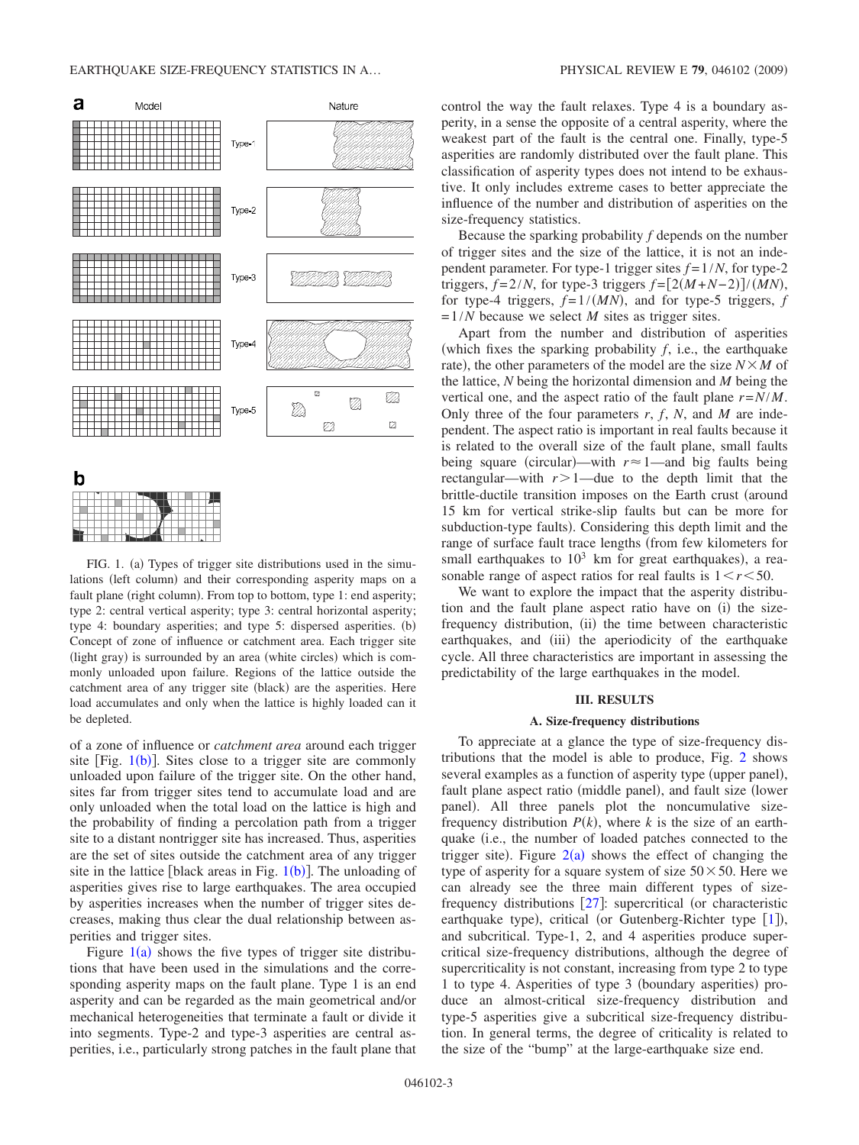<span id="page-2-1"></span>

FIG. 1. (a) Types of trigger site distributions used in the simulations (left column) and their corresponding asperity maps on a fault plane (right column). From top to bottom, type 1: end asperity; type 2: central vertical asperity; type 3: central horizontal asperity; type 4: boundary asperities; and type 5: dispersed asperities. (b) Concept of zone of influence or catchment area. Each trigger site (light gray) is surrounded by an area (white circles) which is commonly unloaded upon failure. Regions of the lattice outside the catchment area of any trigger site (black) are the asperities. Here load accumulates and only when the lattice is highly loaded can it be depleted.

of a zone of influence or *catchment area* around each trigger site [Fig.  $1(b)$  $1(b)$ ]. Sites close to a trigger site are commonly unloaded upon failure of the trigger site. On the other hand, sites far from trigger sites tend to accumulate load and are only unloaded when the total load on the lattice is high and the probability of finding a percolation path from a trigger site to a distant nontrigger site has increased. Thus, asperities are the set of sites outside the catchment area of any trigger site in the lattice [black areas in Fig.  $1(b)$  $1(b)$ ]. The unloading of asperities gives rise to large earthquakes. The area occupied by asperities increases when the number of trigger sites decreases, making thus clear the dual relationship between asperities and trigger sites.

Figure  $1(a)$  $1(a)$  shows the five types of trigger site distributions that have been used in the simulations and the corresponding asperity maps on the fault plane. Type 1 is an end asperity and can be regarded as the main geometrical and/or mechanical heterogeneities that terminate a fault or divide it into segments. Type-2 and type-3 asperities are central asperities, i.e., particularly strong patches in the fault plane that control the way the fault relaxes. Type 4 is a boundary asperity, in a sense the opposite of a central asperity, where the weakest part of the fault is the central one. Finally, type-5 asperities are randomly distributed over the fault plane. This classification of asperity types does not intend to be exhaustive. It only includes extreme cases to better appreciate the influence of the number and distribution of asperities on the size-frequency statistics.

Because the sparking probability *f* depends on the number of trigger sites and the size of the lattice, it is not an independent parameter. For type-1 trigger sites  $f = 1/N$ , for type-2 triggers,  $f = 2/N$ , for type-3 triggers  $f = [2(M+N-2)]/(MN)$ , for type-4 triggers,  $f = 1/(MN)$ , and for type-5 triggers,  $f = 1/(MN)$ =1/*N* because we select *M* sites as trigger sites.

Apart from the number and distribution of asperities which fixes the sparking probability *f*, i.e., the earthquake rate), the other parameters of the model are the size  $N \times M$  of the lattice, *N* being the horizontal dimension and *M* being the vertical one, and the aspect ratio of the fault plane *r*=*N*/*M*. Only three of the four parameters *r*, *f*, *N*, and *M* are independent. The aspect ratio is important in real faults because it is related to the overall size of the fault plane, small faults being square (circular)—with  $r \approx 1$ —and big faults being rectangular—with  $r>1$ —due to the depth limit that the brittle-ductile transition imposes on the Earth crust (around 15 km for vertical strike-slip faults but can be more for subduction-type faults). Considering this depth limit and the range of surface fault trace lengths (from few kilometers for small earthquakes to  $10^3$  km for great earthquakes), a reasonable range of aspect ratios for real faults is  $1 \le r \le 50$ .

We want to explore the impact that the asperity distribution and the fault plane aspect ratio have on (i) the sizefrequency distribution, (ii) the time between characteristic earthquakes, and (iii) the aperiodicity of the earthquake cycle. All three characteristics are important in assessing the predictability of the large earthquakes in the model.

### **III. RESULTS**

#### **A. Size-frequency distributions**

<span id="page-2-0"></span>To appreciate at a glance the type of size-frequency distributions that the model is able to produce, Fig. [2](#page-3-0) shows several examples as a function of asperity type (upper panel), fault plane aspect ratio (middle panel), and fault size (lower panel). All three panels plot the noncumulative sizefrequency distribution  $P(k)$ , where k is the size of an earthquake (i.e., the number of loaded patches connected to the trigger site). Figure  $2(a)$  $2(a)$  shows the effect of changing the type of asperity for a square system of size  $50 \times 50$ . Here we can already see the three main different types of sizefrequency distributions  $[27]$  $[27]$  $[27]$ : supercritical (or characteristic earthquake type), critical (or Gutenberg-Richter type [[1](#page-9-0)]), and subcritical. Type-1, 2, and 4 asperities produce supercritical size-frequency distributions, although the degree of supercriticality is not constant, increasing from type 2 to type 1 to type 4. Asperities of type 3 (boundary asperities) produce an almost-critical size-frequency distribution and type-5 asperities give a subcritical size-frequency distribution. In general terms, the degree of criticality is related to the size of the "bump" at the large-earthquake size end.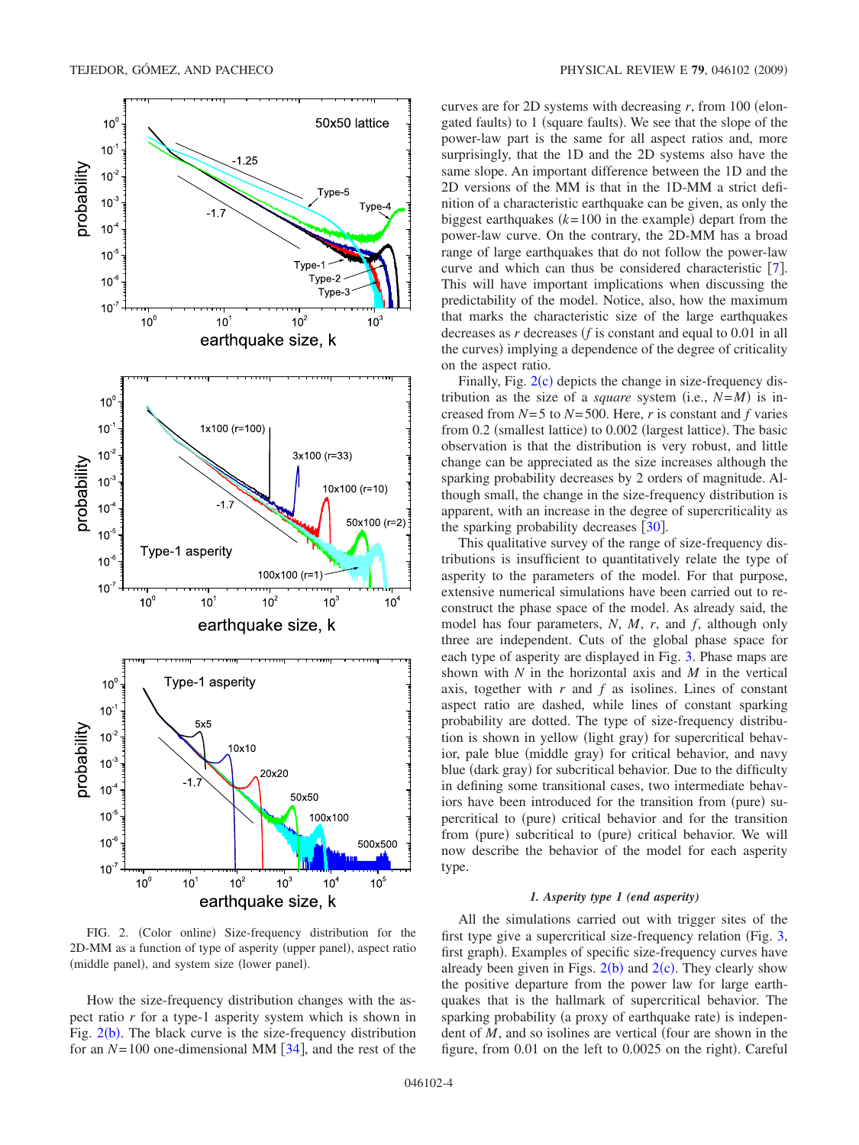<span id="page-3-0"></span>

FIG. 2. (Color online) Size-frequency distribution for the 2D-MM as a function of type of asperity (upper panel), aspect ratio (middle panel), and system size (lower panel).

How the size-frequency distribution changes with the aspect ratio *r* for a type-1 asperity system which is shown in Fig.  $2(b)$  $2(b)$ . The black curve is the size-frequency distribution for an  $N=100$  one-dimensional MM  $[34]$  $[34]$  $[34]$ , and the rest of the curves are for 2D systems with decreasing  $r$ , from 100 (elongated faults) to 1 (square faults). We see that the slope of the power-law part is the same for all aspect ratios and, more surprisingly, that the 1D and the 2D systems also have the same slope. An important difference between the 1D and the 2D versions of the MM is that in the 1D-MM a strict definition of a characteristic earthquake can be given, as only the biggest earthquakes  $(k=100)$  in the example) depart from the power-law curve. On the contrary, the 2D-MM has a broad range of large earthquakes that do not follow the power-law curve and which can thus be considered characteristic  $[7]$  $[7]$  $[7]$ . This will have important implications when discussing the predictability of the model. Notice, also, how the maximum that marks the characteristic size of the large earthquakes decreases as *r* decreases *f* is constant and equal to 0.01 in all the curves) implying a dependence of the degree of criticality on the aspect ratio.

Finally, Fig.  $2(c)$  $2(c)$  depicts the change in size-frequency distribution as the size of a *square* system (i.e.,  $N=M$ ) is increased from *N*=5 to *N*=500. Here, *r* is constant and *f* varies from 0.2 (smallest lattice) to 0.002 (largest lattice). The basic observation is that the distribution is very robust, and little change can be appreciated as the size increases although the sparking probability decreases by 2 orders of magnitude. Although small, the change in the size-frequency distribution is apparent, with an increase in the degree of supercriticality as the sparking probability decreases  $\lceil 30 \rceil$  $\lceil 30 \rceil$  $\lceil 30 \rceil$ .

This qualitative survey of the range of size-frequency distributions is insufficient to quantitatively relate the type of asperity to the parameters of the model. For that purpose, extensive numerical simulations have been carried out to reconstruct the phase space of the model. As already said, the model has four parameters, *N*, *M*, *r*, and *f*, although only three are independent. Cuts of the global phase space for each type of asperity are displayed in Fig. [3.](#page-4-0) Phase maps are shown with *N* in the horizontal axis and *M* in the vertical axis, together with *r* and *f* as isolines. Lines of constant aspect ratio are dashed, while lines of constant sparking probability are dotted. The type of size-frequency distribution is shown in yellow (light gray) for supercritical behavior, pale blue (middle gray) for critical behavior, and navy blue (dark gray) for subcritical behavior. Due to the difficulty in defining some transitional cases, two intermediate behaviors have been introduced for the transition from (pure) supercritical to (pure) critical behavior and for the transition from (pure) subcritical to (pure) critical behavior. We will now describe the behavior of the model for each asperity type.

#### *1. Asperity type 1 (end asperity)*

All the simulations carried out with trigger sites of the first type give a supercritical size-frequency relation (Fig.  $3$ , first graph). Examples of specific size-frequency curves have already been given in Figs.  $2(b)$  $2(b)$  and  $2(c)$ . They clearly show the positive departure from the power law for large earthquakes that is the hallmark of supercritical behavior. The sparking probability (a proxy of earthquake rate) is independent of *M*, and so isolines are vertical (four are shown in the figure, from 0.01 on the left to 0.0025 on the right). Careful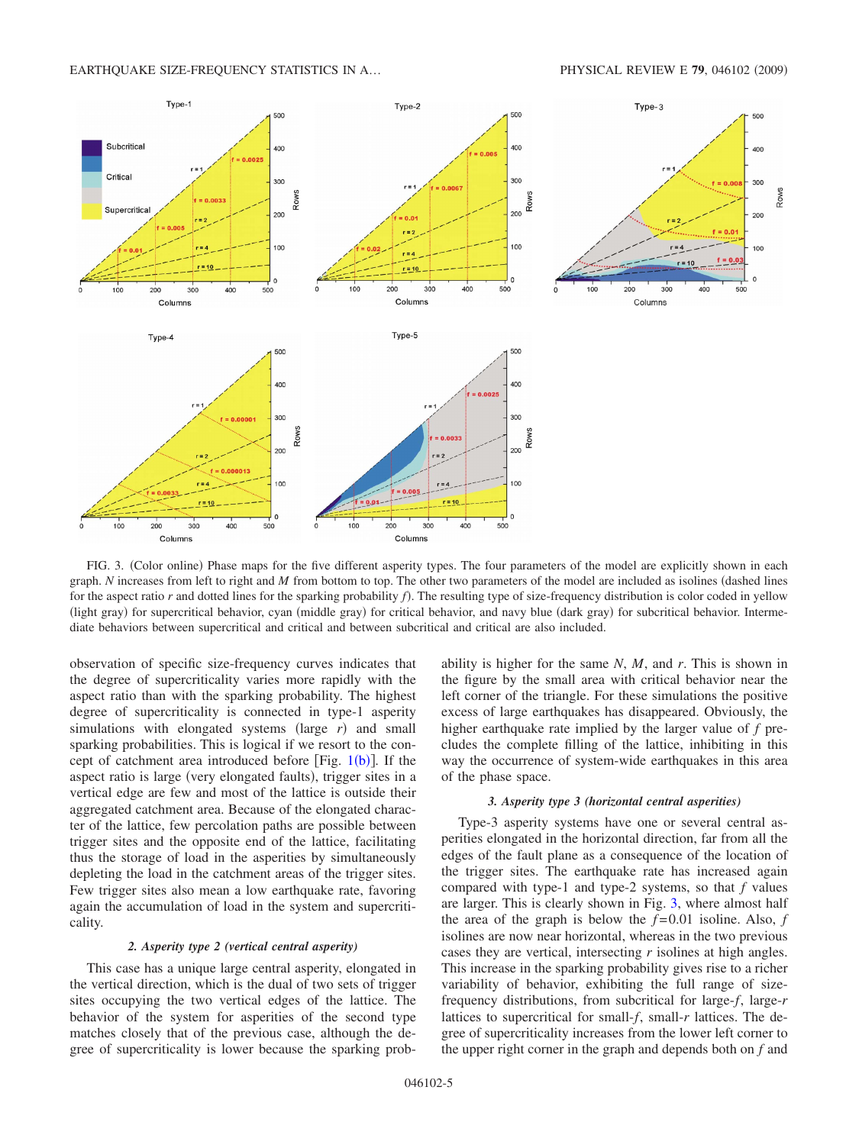<span id="page-4-0"></span>

FIG. 3. (Color online) Phase maps for the five different asperity types. The four parameters of the model are explicitly shown in each graph. *N* increases from left to right and *M* from bottom to top. The other two parameters of the model are included as isolines (dashed lines for the aspect ratio *r* and dotted lines for the sparking probability *f*). The resulting type of size-frequency distribution is color coded in yellow (light gray) for supercritical behavior, cyan (middle gray) for critical behavior, and navy blue (dark gray) for subcritical behavior. Intermediate behaviors between supercritical and critical and between subcritical and critical are also included.

observation of specific size-frequency curves indicates that the degree of supercriticality varies more rapidly with the aspect ratio than with the sparking probability. The highest degree of supercriticality is connected in type-1 asperity simulations with elongated systems (large  $r$ ) and small sparking probabilities. This is logical if we resort to the concept of catchment area introduced [b](#page-2-1)efore [Fig.  $1(b)$ ]. If the aspect ratio is large (very elongated faults), trigger sites in a vertical edge are few and most of the lattice is outside their aggregated catchment area. Because of the elongated character of the lattice, few percolation paths are possible between trigger sites and the opposite end of the lattice, facilitating thus the storage of load in the asperities by simultaneously depleting the load in the catchment areas of the trigger sites. Few trigger sites also mean a low earthquake rate, favoring again the accumulation of load in the system and supercriticality.

#### *2. Asperity type 2 (vertical central asperity)*

This case has a unique large central asperity, elongated in the vertical direction, which is the dual of two sets of trigger sites occupying the two vertical edges of the lattice. The behavior of the system for asperities of the second type matches closely that of the previous case, although the degree of supercriticality is lower because the sparking probability is higher for the same *N*, *M*, and *r*. This is shown in the figure by the small area with critical behavior near the left corner of the triangle. For these simulations the positive excess of large earthquakes has disappeared. Obviously, the higher earthquake rate implied by the larger value of *f* precludes the complete filling of the lattice, inhibiting in this way the occurrence of system-wide earthquakes in this area of the phase space.

#### *3. Asperity type 3 (horizontal central asperities)*

Type-3 asperity systems have one or several central asperities elongated in the horizontal direction, far from all the edges of the fault plane as a consequence of the location of the trigger sites. The earthquake rate has increased again compared with type-1 and type-2 systems, so that *f* values are larger. This is clearly shown in Fig. [3,](#page-4-0) where almost half the area of the graph is below the  $f=0.01$  isoline. Also,  $f$ isolines are now near horizontal, whereas in the two previous cases they are vertical, intersecting *r* isolines at high angles. This increase in the sparking probability gives rise to a richer variability of behavior, exhibiting the full range of sizefrequency distributions, from subcritical for large-*f*, large-*r* lattices to supercritical for small-*f*, small-*r* lattices. The degree of supercriticality increases from the lower left corner to the upper right corner in the graph and depends both on *f* and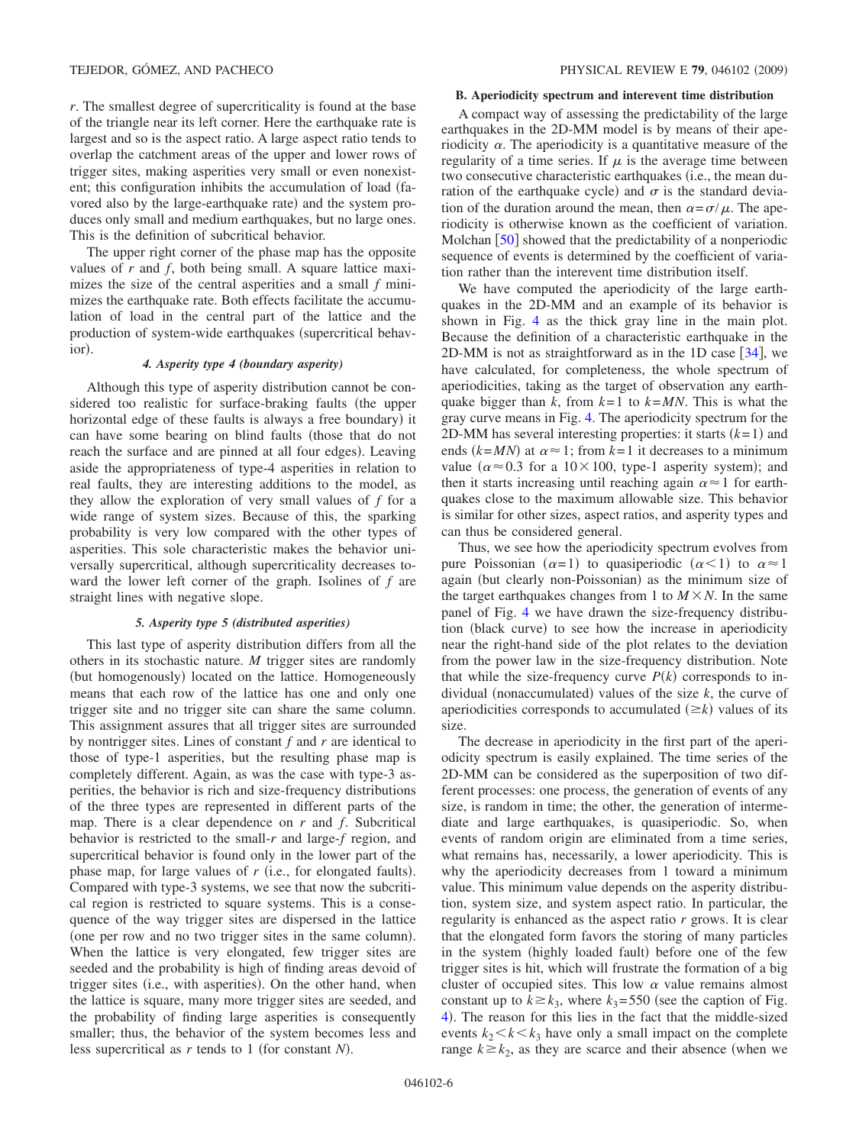*r*. The smallest degree of supercriticality is found at the base of the triangle near its left corner. Here the earthquake rate is largest and so is the aspect ratio. A large aspect ratio tends to overlap the catchment areas of the upper and lower rows of trigger sites, making asperities very small or even nonexistent; this configuration inhibits the accumulation of load favored also by the large-earthquake rate) and the system produces only small and medium earthquakes, but no large ones. This is the definition of subcritical behavior.

The upper right corner of the phase map has the opposite values of *r* and *f*, both being small. A square lattice maximizes the size of the central asperities and a small *f* minimizes the earthquake rate. Both effects facilitate the accumulation of load in the central part of the lattice and the production of system-wide earthquakes (supercritical behavior).

# *4. Asperity type 4 (boundary asperity)*

Although this type of asperity distribution cannot be considered too realistic for surface-braking faults (the upper horizontal edge of these faults is always a free boundary) it can have some bearing on blind faults (those that do not reach the surface and are pinned at all four edges). Leaving aside the appropriateness of type-4 asperities in relation to real faults, they are interesting additions to the model, as they allow the exploration of very small values of *f* for a wide range of system sizes. Because of this, the sparking probability is very low compared with the other types of asperities. This sole characteristic makes the behavior universally supercritical, although supercriticality decreases toward the lower left corner of the graph. Isolines of *f* are straight lines with negative slope.

## *5. Asperity type 5 (distributed asperities)*

This last type of asperity distribution differs from all the others in its stochastic nature. *M* trigger sites are randomly (but homogenously) located on the lattice. Homogeneously means that each row of the lattice has one and only one trigger site and no trigger site can share the same column. This assignment assures that all trigger sites are surrounded by nontrigger sites. Lines of constant *f* and *r* are identical to those of type-1 asperities, but the resulting phase map is completely different. Again, as was the case with type-3 asperities, the behavior is rich and size-frequency distributions of the three types are represented in different parts of the map. There is a clear dependence on *r* and *f*. Subcritical behavior is restricted to the small-*r* and large-*f* region, and supercritical behavior is found only in the lower part of the phase map, for large values of  $r$  (i.e., for elongated faults). Compared with type-3 systems, we see that now the subcritical region is restricted to square systems. This is a consequence of the way trigger sites are dispersed in the lattice (one per row and no two trigger sites in the same column). When the lattice is very elongated, few trigger sites are seeded and the probability is high of finding areas devoid of trigger sites (i.e., with asperities). On the other hand, when the lattice is square, many more trigger sites are seeded, and the probability of finding large asperities is consequently smaller; thus, the behavior of the system becomes less and less supercritical as *r* tends to 1 (for constant *N*).

#### **B. Aperiodicity spectrum and interevent time distribution**

A compact way of assessing the predictability of the large earthquakes in the 2D-MM model is by means of their aperiodicity  $\alpha$ . The aperiodicity is a quantitative measure of the regularity of a time series. If  $\mu$  is the average time between two consecutive characteristic earthquakes (i.e., the mean duration of the earthquake cycle) and  $\sigma$  is the standard deviation of the duration around the mean, then  $\alpha = \sigma / \mu$ . The aperiodicity is otherwise known as the coefficient of variation. Molchan  $\lceil 50 \rceil$  $\lceil 50 \rceil$  $\lceil 50 \rceil$  showed that the predictability of a nonperiodic sequence of events is determined by the coefficient of variation rather than the interevent time distribution itself.

We have computed the aperiodicity of the large earthquakes in the 2D-MM and an example of its behavior is shown in Fig. [4](#page-6-0) as the thick gray line in the main plot. Because the definition of a characteristic earthquake in the 2D-MM is not as straightforward as in the 1D case  $[34]$  $[34]$  $[34]$ , we have calculated, for completeness, the whole spectrum of aperiodicities, taking as the target of observation any earthquake bigger than *k*, from  $k=1$  to  $k=MN$ . This is what the gray curve means in Fig. [4.](#page-6-0) The aperiodicity spectrum for the 2D-MM has several interesting properties: it starts  $(k=1)$  and ends  $(k = MN)$  at  $\alpha \approx 1$ ; from  $k = 1$  it decreases to a minimum value ( $\alpha \approx 0.3$  for a 10×100, type-1 asperity system); and then it starts increasing until reaching again  $\alpha \approx 1$  for earthquakes close to the maximum allowable size. This behavior is similar for other sizes, aspect ratios, and asperity types and can thus be considered general.

Thus, we see how the aperiodicity spectrum evolves from pure Poissonian  $(\alpha=1)$  to quasiperiodic  $(\alpha<1)$  to  $\alpha \approx 1$ again (but clearly non-Poissonian) as the minimum size of the target earthquakes changes from 1 to  $M \times N$ . In the same panel of Fig. [4](#page-6-0) we have drawn the size-frequency distribution (black curve) to see how the increase in aperiodicity near the right-hand side of the plot relates to the deviation from the power law in the size-frequency distribution. Note that while the size-frequency curve  $P(k)$  corresponds to individual (nonaccumulated) values of the size  $k$ , the curve of aperiodicities corresponds to accumulated  $(\geq k)$  values of its size.

The decrease in aperiodicity in the first part of the aperiodicity spectrum is easily explained. The time series of the 2D-MM can be considered as the superposition of two different processes: one process, the generation of events of any size, is random in time; the other, the generation of intermediate and large earthquakes, is quasiperiodic. So, when events of random origin are eliminated from a time series, what remains has, necessarily, a lower aperiodicity. This is why the aperiodicity decreases from 1 toward a minimum value. This minimum value depends on the asperity distribution, system size, and system aspect ratio. In particular, the regularity is enhanced as the aspect ratio *r* grows. It is clear that the elongated form favors the storing of many particles in the system (highly loaded fault) before one of the few trigger sites is hit, which will frustrate the formation of a big cluster of occupied sites. This low  $\alpha$  value remains almost constant up to  $k \ge k_3$ , where  $k_3 = 550$  (see the caption of Fig. [4](#page-6-0)). The reason for this lies in the fact that the middle-sized events  $k_2 < k < k_3$  have only a small impact on the complete range  $k \geq k_2$ , as they are scarce and their absence (when we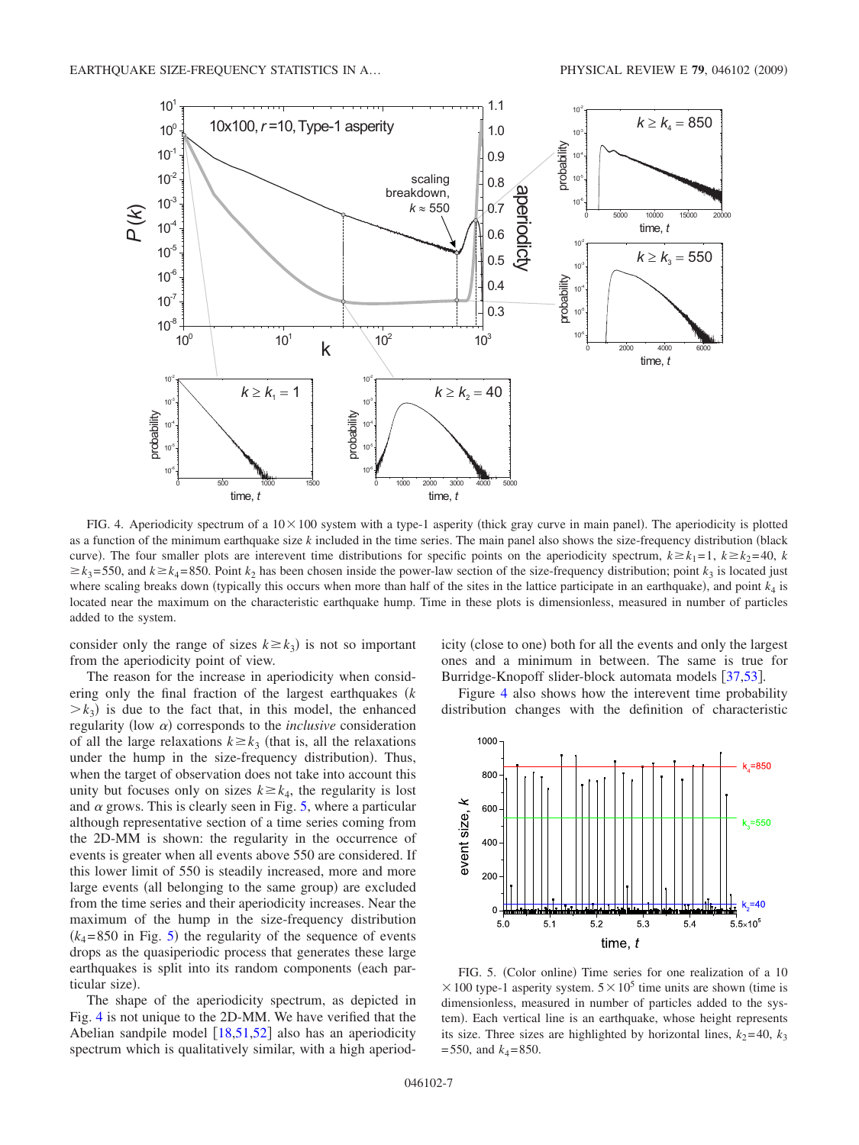<span id="page-6-0"></span>![](_page_6_Figure_2.jpeg)

FIG. 4. Aperiodicity spectrum of a  $10 \times 100$  system with a type-1 asperity (thick gray curve in main panel). The aperiodicity is plotted as a function of the minimum earthquake size  $k$  included in the time series. The main panel also shows the size-frequency distribution (black curve). The four smaller plots are interevent time distributions for specific points on the aperiodicity spectrum,  $k \geq k_1 = 1$ ,  $k \geq k_2 = 40$ , k  $\geq k_3$ =550, and  $k \geq k_4$ =850. Point  $k_2$  has been chosen inside the power-law section of the size-frequency distribution; point  $k_3$  is located just where scaling breaks down (typically this occurs when more than half of the sites in the lattice participate in an earthquake), and point  $k_4$  is located near the maximum on the characteristic earthquake hump. Time in these plots is dimensionless, measured in number of particles added to the system.

consider only the range of sizes  $k \ge k_3$ ) is not so important from the aperiodicity point of view.

The reason for the increase in aperiodicity when considering only the final fraction of the largest earthquakes *k*  $\geq k_3$ ) is due to the fact that, in this model, the enhanced regularity (low  $\alpha$ ) corresponds to the *inclusive* consideration of all the large relaxations  $k \ge k_3$  (that is, all the relaxations under the hump in the size-frequency distribution). Thus, when the target of observation does not take into account this unity but focuses only on sizes  $k \geq k_4$ , the regularity is lost and  $\alpha$  grows. This is clearly seen in Fig. [5,](#page-6-1) where a particular although representative section of a time series coming from the 2D-MM is shown: the regularity in the occurrence of events is greater when all events above 550 are considered. If this lower limit of 550 is steadily increased, more and more large events (all belonging to the same group) are excluded from the time series and their aperiodicity increases. Near the maximum of the hump in the size-frequency distribution  $(k_4 = 850$  $(k_4 = 850$  $(k_4 = 850$  in Fig. 5) the regularity of the sequence of events drops as the quasiperiodic process that generates these large earthquakes is split into its random components (each particular size).

The shape of the aperiodicity spectrum, as depicted in Fig. [4](#page-6-0) is not unique to the 2D-MM. We have verified that the Abelian sandpile model  $\left[18,51,52\right]$  $\left[18,51,52\right]$  $\left[18,51,52\right]$  $\left[18,51,52\right]$  $\left[18,51,52\right]$  also has an aperiodicity spectrum which is qualitatively similar, with a high aperiod-

icity (close to one) both for all the events and only the largest ones and a minimum in between. The same is true for Burridge-Knopoff slider-block automata models [[37](#page-9-21)[,53](#page-9-32)].

Figure [4](#page-6-0) also shows how the interevent time probability distribution changes with the definition of characteristic

<span id="page-6-1"></span>![](_page_6_Figure_9.jpeg)

FIG. 5. (Color online) Time series for one realization of a 10  $\times$  100 type-1 asperity system.  $5\times10^5$  time units are shown (time is dimensionless, measured in number of particles added to the system). Each vertical line is an earthquake, whose height represents its size. Three sizes are highlighted by horizontal lines,  $k_2$ =40,  $k_3$  $=$  550, and  $k_4$ = 850.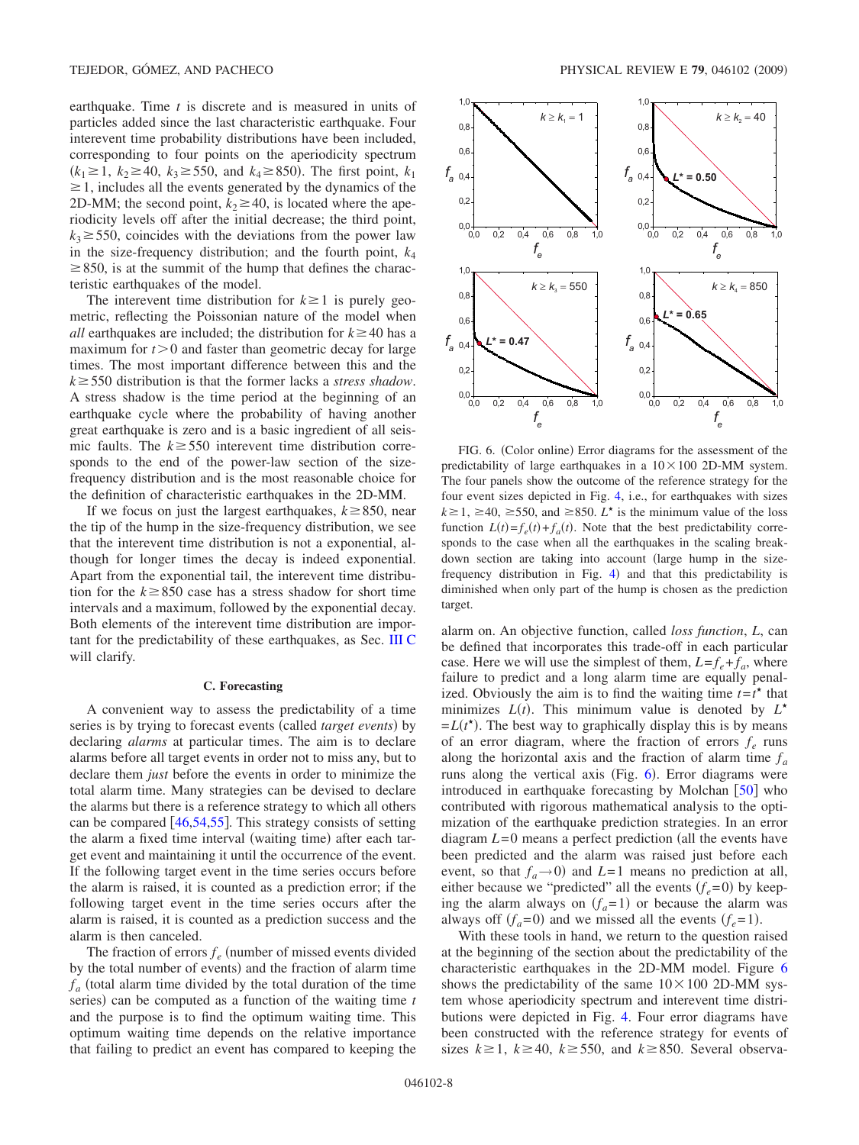earthquake. Time *t* is discrete and is measured in units of particles added since the last characteristic earthquake. Four interevent time probability distributions have been included, corresponding to four points on the aperiodicity spectrum  $(k_1 \ge 1, k_2 \ge 40, k_3 \ge 550, \text{ and } k_4 \ge 850).$  The first point,  $k_1$  $\geq$  1, includes all the events generated by the dynamics of the 2D-MM; the second point,  $k_2 \ge 40$ , is located where the aperiodicity levels off after the initial decrease; the third point,  $k_3 \ge 550$ , coincides with the deviations from the power law in the size-frequency distribution; and the fourth point,  $k_4$  $\geq$  850, is at the summit of the hump that defines the characteristic earthquakes of the model.

The interevent time distribution for  $k \geq 1$  is purely geometric, reflecting the Poissonian nature of the model when *all* earthquakes are included; the distribution for  $k \ge 40$  has a maximum for  $t > 0$  and faster than geometric decay for large times. The most important difference between this and the  $k \geq 550$  distribution is that the former lacks a *stress shadow*. A stress shadow is the time period at the beginning of an earthquake cycle where the probability of having another great earthquake is zero and is a basic ingredient of all seismic faults. The  $k \geq 550$  interevent time distribution corresponds to the end of the power-law section of the sizefrequency distribution and is the most reasonable choice for the definition of characteristic earthquakes in the 2D-MM.

If we focus on just the largest earthquakes,  $k \ge 850$ , near the tip of the hump in the size-frequency distribution, we see that the interevent time distribution is not a exponential, although for longer times the decay is indeed exponential. Apart from the exponential tail, the interevent time distribution for the  $k \ge 850$  case has a stress shadow for short time intervals and a maximum, followed by the exponential decay. Both elements of the interevent time distribution are important for the predictability of these earthquakes, as Sec. [III C](#page-7-0) will clarify.

#### **C. Forecasting**

<span id="page-7-0"></span>A convenient way to assess the predictability of a time series is by trying to forecast events (called *target events*) by declaring *alarms* at particular times. The aim is to declare alarms before all target events in order not to miss any, but to declare them *just* before the events in order to minimize the total alarm time. Many strategies can be devised to declare the alarms but there is a reference strategy to which all others can be compared  $\left[46,54,55\right]$  $\left[46,54,55\right]$  $\left[46,54,55\right]$  $\left[46,54,55\right]$  $\left[46,54,55\right]$ . This strategy consists of setting the alarm a fixed time interval (waiting time) after each target event and maintaining it until the occurrence of the event. If the following target event in the time series occurs before the alarm is raised, it is counted as a prediction error; if the following target event in the time series occurs after the alarm is raised, it is counted as a prediction success and the alarm is then canceled.

The fraction of errors  $f_e$  (number of missed events divided by the total number of events) and the fraction of alarm time  $f_a$  (total alarm time divided by the total duration of the time series) can be computed as a function of the waiting time *t* and the purpose is to find the optimum waiting time. This optimum waiting time depends on the relative importance that failing to predict an event has compared to keeping the

<span id="page-7-1"></span>![](_page_7_Figure_8.jpeg)

FIG. 6. (Color online) Error diagrams for the assessment of the predictability of large earthquakes in a  $10 \times 100$  2D-MM system. The four panels show the outcome of the reference strategy for the four event sizes depicted in Fig. [4,](#page-6-0) i.e., for earthquakes with sizes  $k \ge 1$ ,  $\ge 40$ ,  $\ge 550$ , and  $\ge 850$ . *L*<sup>\*</sup> is the minimum value of the loss function  $L(t) = f_e(t) + f_a(t)$ . Note that the best predictability corresponds to the case when all the earthquakes in the scaling breakdown section are taking into account (large hump in the sizefrequency distribution in Fig.  $4$ ) and that this predictability is diminished when only part of the hump is chosen as the prediction target.

alarm on. An objective function, called *loss function*, *L*, can be defined that incorporates this trade-off in each particular case. Here we will use the simplest of them,  $L = f_e + f_a$ , where failure to predict and a long alarm time are equally penalized. Obviously the aim is to find the waiting time  $t = t^*$  that minimizes  $L(t)$ . This minimum value is denoted by  $L^*$  $=L(t^*)$ . The best way to graphically display this is by means of an error diagram, where the fraction of errors  $f_e$  runs along the horizontal axis and the fraction of alarm time  $f_a$ runs along the vertical axis (Fig. [6](#page-7-1)). Error diagrams were introduced in earthquake forecasting by Molchan  $\lceil 50 \rceil$  $\lceil 50 \rceil$  $\lceil 50 \rceil$  who contributed with rigorous mathematical analysis to the optimization of the earthquake prediction strategies. In an error diagram  $L=0$  means a perfect prediction (all the events have been predicted and the alarm was raised just before each event, so that  $f_a \rightarrow 0$  and *L*=1 means no prediction at all, either because we "predicted" all the events  $(f_e=0)$  by keeping the alarm always on  $(f_a=1)$  or because the alarm was always off  $(f_a=0)$  and we missed all the events  $(f_e=1)$ .

With these tools in hand, we return to the question raised at the beginning of the section about the predictability of the characteristic earthquakes in the 2D-MM model. Figure [6](#page-7-1) shows the predictability of the same  $10 \times 100$  2D-MM system whose aperiodicity spectrum and interevent time distributions were depicted in Fig. [4.](#page-6-0) Four error diagrams have been constructed with the reference strategy for events of sizes  $k \ge 1$ ,  $k \ge 40$ ,  $k \ge 550$ , and  $k \ge 850$ . Several observa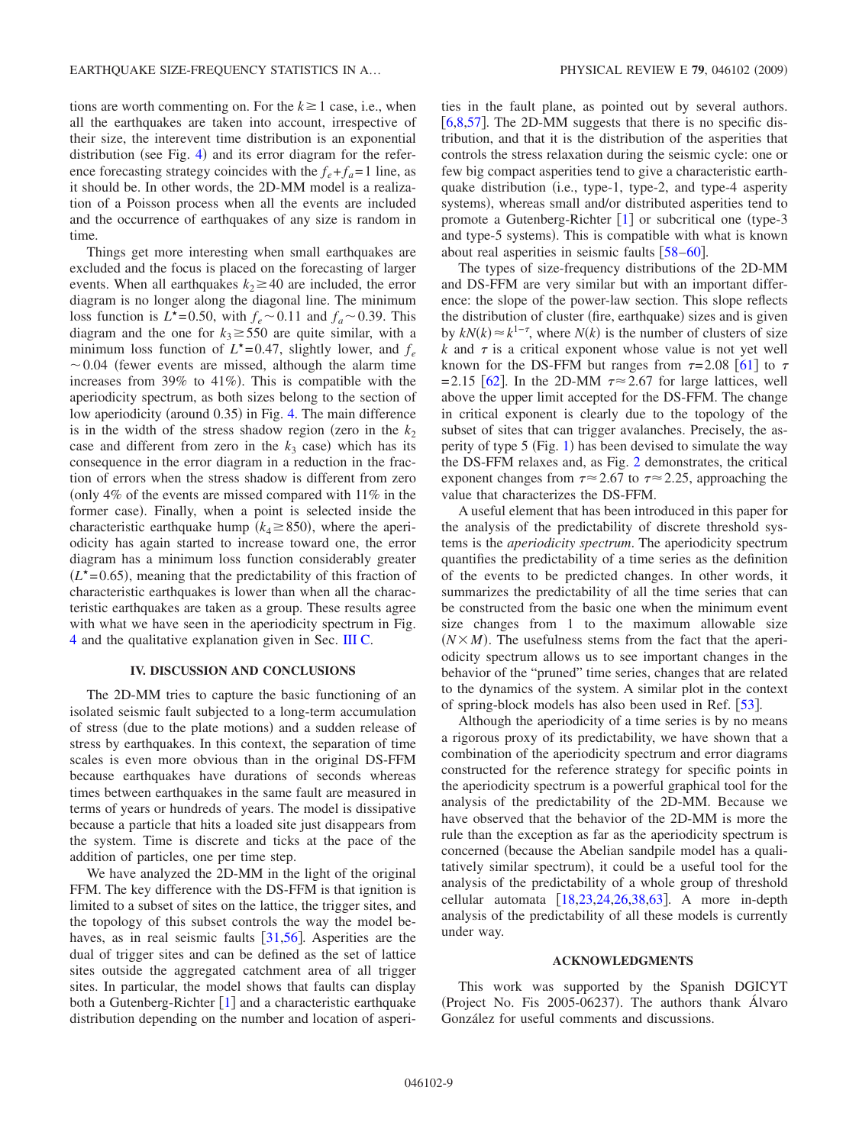tions are worth commenting on. For the  $k \ge 1$  case, i.e., when all the earthquakes are taken into account, irrespective of their size, the interevent time distribution is an exponential distribution (see Fig. [4](#page-6-0)) and its error diagram for the reference forecasting strategy coincides with the  $f_e + f_a = 1$  line, as it should be. In other words, the 2D-MM model is a realization of a Poisson process when all the events are included and the occurrence of earthquakes of any size is random in time.

Things get more interesting when small earthquakes are excluded and the focus is placed on the forecasting of larger events. When all earthquakes  $k_2 \ge 40$  are included, the error diagram is no longer along the diagonal line. The minimum loss function is  $L^*$ =0.50, with  $f_e$  ~0.11 and  $f_a$  ~0.39. This diagram and the one for  $k_3 \ge 550$  are quite similar, with a minimum loss function of  $L^*$ =0.47, slightly lower, and  $f_e$  $\sim$  0.04 (fewer events are missed, although the alarm time increases from  $39\%$  to  $41\%$ ). This is compatible with the aperiodicity spectrum, as both sizes belong to the section of low aperiodicity (around 0.35) in Fig. [4.](#page-6-0) The main difference is in the width of the stress shadow region (zero in the  $k_2$ ) case and different from zero in the  $k_3$  case) which has its consequence in the error diagram in a reduction in the fraction of errors when the stress shadow is different from zero (only  $4\%$  of the events are missed compared with  $11\%$  in the former case). Finally, when a point is selected inside the characteristic earthquake hump  $(k_4 \ge 850)$ , where the aperiodicity has again started to increase toward one, the error diagram has a minimum loss function considerably greater  $(L<sup>*</sup>=0.65)$ , meaning that the predictability of this fraction of characteristic earthquakes is lower than when all the characteristic earthquakes are taken as a group. These results agree with what we have seen in the aperiodicity spectrum in Fig. [4](#page-6-0) and the qualitative explanation given in Sec. [III C.](#page-7-0)

# **IV. DISCUSSION AND CONCLUSIONS**

<span id="page-8-0"></span>The 2D-MM tries to capture the basic functioning of an isolated seismic fault subjected to a long-term accumulation of stress (due to the plate motions) and a sudden release of stress by earthquakes. In this context, the separation of time scales is even more obvious than in the original DS-FFM because earthquakes have durations of seconds whereas times between earthquakes in the same fault are measured in terms of years or hundreds of years. The model is dissipative because a particle that hits a loaded site just disappears from the system. Time is discrete and ticks at the pace of the addition of particles, one per time step.

We have analyzed the 2D-MM in the light of the original FFM. The key difference with the DS-FFM is that ignition is limited to a subset of sites on the lattice, the trigger sites, and the topology of this subset controls the way the model behaves, as in real seismic faults  $|31,56|$  $|31,56|$  $|31,56|$  $|31,56|$ . Asperities are the dual of trigger sites and can be defined as the set of lattice sites outside the aggregated catchment area of all trigger sites. In particular, the model shows that faults can display both a Gutenberg-Richter  $\begin{bmatrix} 1 \end{bmatrix}$  $\begin{bmatrix} 1 \end{bmatrix}$  $\begin{bmatrix} 1 \end{bmatrix}$  and a characteristic earthquake distribution depending on the number and location of asperities in the fault plane, as pointed out by several authors. [ $6,8,57$  $6,8,57$  $6,8,57$ ]. The 2D-MM suggests that there is no specific distribution, and that it is the distribution of the asperities that controls the stress relaxation during the seismic cycle: one or few big compact asperities tend to give a characteristic earthquake distribution (i.e., type-1, type-2, and type-4 asperity systems), whereas small and/or distributed asperities tend to promote a Gutenberg-Richter  $[1]$  $[1]$  $[1]$  or subcritical one (type-3) and type-5 systems). This is compatible with what is known about real asperities in seismic faults  $\lceil 58-60 \rceil$  $\lceil 58-60 \rceil$  $\lceil 58-60 \rceil$ .

The types of size-frequency distributions of the 2D-MM and DS-FFM are very similar but with an important difference: the slope of the power-law section. This slope reflects the distribution of cluster (fire, earthquake) sizes and is given by  $kN(k) \approx k^{1-\tau}$ , where  $N(k)$  is the number of clusters of size  $k$  and  $\tau$  is a critical exponent whose value is not yet well known for the DS-FFM but ranges from  $\tau = 2.08 \, [61]$  $\tau = 2.08 \, [61]$  $\tau = 2.08 \, [61]$  to  $\tau$  $=2.15$  [[62](#page-9-40)]. In the 2D-MM  $\tau \approx 2.67$  for large lattices, well above the upper limit accepted for the DS-FFM. The change in critical exponent is clearly due to the topology of the subset of sites that can trigger avalanches. Precisely, the asperity of type  $5$  (Fig. [1](#page-2-1)) has been devised to simulate the way the DS-FFM relaxes and, as Fig. [2](#page-3-0) demonstrates, the critical exponent changes from  $\tau \approx 2.67$  to  $\tau \approx 2.25$ , approaching the value that characterizes the DS-FFM.

A useful element that has been introduced in this paper for the analysis of the predictability of discrete threshold systems is the *aperiodicity spectrum*. The aperiodicity spectrum quantifies the predictability of a time series as the definition of the events to be predicted changes. In other words, it summarizes the predictability of all the time series that can be constructed from the basic one when the minimum event size changes from 1 to the maximum allowable size  $(N \times M)$ . The usefulness stems from the fact that the aperiodicity spectrum allows us to see important changes in the behavior of the "pruned" time series, changes that are related to the dynamics of the system. A similar plot in the context of spring-block models has also been used in Ref. [[53](#page-9-32)].

Although the aperiodicity of a time series is by no means a rigorous proxy of its predictability, we have shown that a combination of the aperiodicity spectrum and error diagrams constructed for the reference strategy for specific points in the aperiodicity spectrum is a powerful graphical tool for the analysis of the predictability of the 2D-MM. Because we have observed that the behavior of the 2D-MM is more the rule than the exception as far as the aperiodicity spectrum is concerned (because the Abelian sandpile model has a qualitatively similar spectrum), it could be a useful tool for the analysis of the predictability of a whole group of threshold cellular automata  $[18,23,24,26,38,63]$  $[18,23,24,26,38,63]$  $[18,23,24,26,38,63]$  $[18,23,24,26,38,63]$  $[18,23,24,26,38,63]$  $[18,23,24,26,38,63]$  $[18,23,24,26,38,63]$  $[18,23,24,26,38,63]$ . A more in-depth analysis of the predictability of all these models is currently under way.

#### **ACKNOWLEDGMENTS**

This work was supported by the Spanish DGICYT (Project No. Fis 2005-06237). The authors thank Álvaro González for useful comments and discussions.